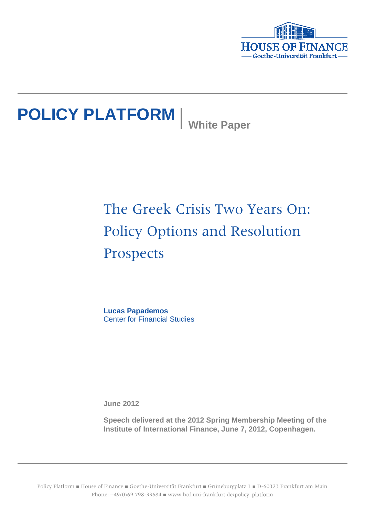

# **POLICY PLATFORM** White Paper

## The Greek Crisis Two Years On: Policy Options and Resolution Prospects

**Lucas Papademos** Center for Financial Studies

**June 2012**

**Speech delivered at the 2012 Spring Membership Meeting of the Institute of International Finance, June 7, 2012, Copenhagen.**

Policy Platform ■ House of Finance ■ Goethe-Universität Frankfurt ■ Grüneburgplatz 1 ■ D-60323 Frankfurt am Main Phone: +49(0)69 798-33684 ■ www.hof.uni-frankfurt.de/policy\_platform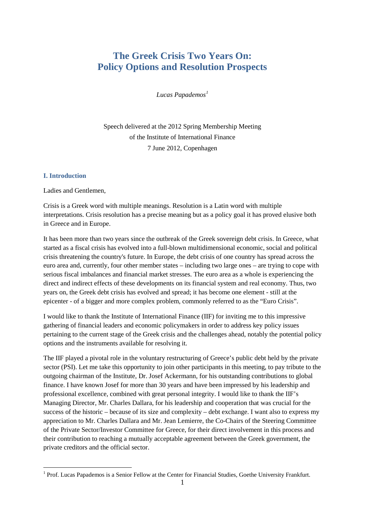### **The Greek Crisis Two Years On: Policy Options and Resolution Prospects**

*Lucas Papademos[1](#page-1-0)*

Speech delivered at the 2012 Spring Membership Meeting of the Institute of International Finance 7 June 2012, Copenhagen

#### **I. Introduction**

Ladies and Gentlemen,

Crisis is a Greek word with multiple meanings. Resolution is a Latin word with multiple interpretations. Crisis resolution has a precise meaning but as a policy goal it has proved elusive both in Greece and in Europe.

It has been more than two years since the outbreak of the Greek sovereign debt crisis. In Greece, what started as a fiscal crisis has evolved into a full-blown multidimensional economic, social and political crisis threatening the country's future. In Europe, the debt crisis of one country has spread across the euro area and, currently, four other member states – including two large ones – are trying to cope with serious fiscal imbalances and financial market stresses. The euro area as a whole is experiencing the direct and indirect effects of these developments on its financial system and real economy. Thus, two years on, the Greek debt crisis has evolved and spread; it has become one element - still at the epicenter - of a bigger and more complex problem, commonly referred to as the "Euro Crisis".

I would like to thank the Institute of International Finance (IIF) for inviting me to this impressive gathering of financial leaders and economic policymakers in order to address key policy issues pertaining to the current stage of the Greek crisis and the challenges ahead, notably the potential policy options and the instruments available for resolving it.

The IIF played a pivotal role in the voluntary restructuring of Greece's public debt held by the private sector (PSI). Let me take this opportunity to join other participants in this meeting, to pay tribute to the outgoing chairman of the Institute, Dr. Josef Ackermann, for his outstanding contributions to global finance. I have known Josef for more than 30 years and have been impressed by his leadership and professional excellence, combined with great personal integrity. I would like to thank the IIF's Managing Director, Mr. Charles Dallara, for his leadership and cooperation that was crucial for the success of the historic – because of its size and complexity – debt exchange. I want also to express my appreciation to Mr. Charles Dallara and Mr. Jean Lemierre, the Co-Chairs of the Steering Committee of the Private Sector/Investor Committee for Greece, for their direct involvement in this process and their contribution to reaching a mutually acceptable agreement between the Greek government, the private creditors and the official sector.

<span id="page-1-0"></span><sup>&</sup>lt;sup>1</sup> Prof. Lucas Papademos is a Senior Fellow at the Center for Financial Studies, Goethe University Frankfurt.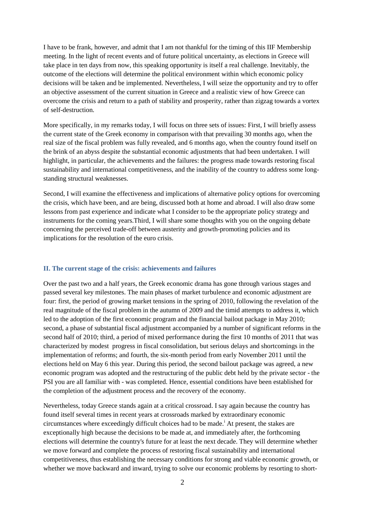I have to be frank, however, and admit that I am not thankful for the timing of this IIF Membership meeting. In the light of recent events and of future political uncertainty, as elections in Greece will take place in ten days from now, this speaking opportunity is itself a real challenge. Inevitably, the outcome of the elections will determine the political environment within which economic policy decisions will be taken and be implemented. Nevertheless, I will seize the opportunity and try to offer an objective assessment of the current situation in Greece and a realistic view of how Greece can overcome the crisis and return to a path of stability and prosperity, rather than zigzag towards a vortex of self-destruction.

More specifically, in my remarks today, I will focus on three sets of issues: First, I will briefly assess the current state of the Greek economy in comparison with that prevailing 30 months ago, when the real size of the fiscal problem was fully revealed, and 6 months ago, when the country found itself on the brink of an abyss despite the substantial economic adjustments that had been undertaken. I will highlight, in particular, the achievements and the failures: the progress made towards restoring fiscal sustainability and international competitiveness, and the inability of the country to address some longstanding structural weaknesses.

Second, I will examine the effectiveness and implications of alternative policy options for overcoming the crisis, which have been, and are being, discussed both at home and abroad. I will also draw some lessons from past experience and indicate what I consider to be the appropriate policy strategy and instruments for the coming years.Third, I will share some thoughts with you on the ongoing debate concerning the perceived trade-off between austerity and growth-promoting policies and its implications for the resolution of the euro crisis.

#### **II. The current stage of the crisis: achievements and failures**

Over the past two and a half years, the Greek economic drama has gone through various stages and passed several key milestones. The main phases of market turbulence and economic adjustment are four: first, the period of growing market tensions in the spring of 2010, following the revelation of the real magnitude of the fiscal problem in the autumn of 2009 and the timid attempts to address it, which led to the adoption of the first economic program and the financial bailout package in May 2010; second, a phase of substantial fiscal adjustment accompanied by a number of significant reforms in the second half of 2010; third, a period of mixed performance during the first 10 months of 2011 that was characterized by modest progress in fiscal consolidation, but serious delays and shortcomings in the implementation of reforms; and fourth, the six-month period from early November 2011 until the elections held on May 6 this year. During this period, the second bailout package was agreed, a new economic program was adopted and the restructuring of the public debt held by the private sector - the PSI you are all familiar with - was completed. Hence, essential conditions have been established for the completion of the adjustment process and the recovery of the economy.

Nevertheless, today Greece stands again at a critical crossroad. I say again because the country has found itself several times in recent years at crossroads marked by extraordinary economic c[i](#page-8-0)rcumstances where exceedingly difficult choices had to be made.<sup>i</sup> At present, the stakes are exceptionally high because the decisions to be made at, and immediately after, the forthcoming elections will determine the country's future for at least the next decade. They will determine whether we move forward and complete the process of restoring fiscal sustainability and international competitiveness, thus establishing the necessary conditions for strong and viable economic growth, or whether we move backward and inward, trying to solve our economic problems by resorting to short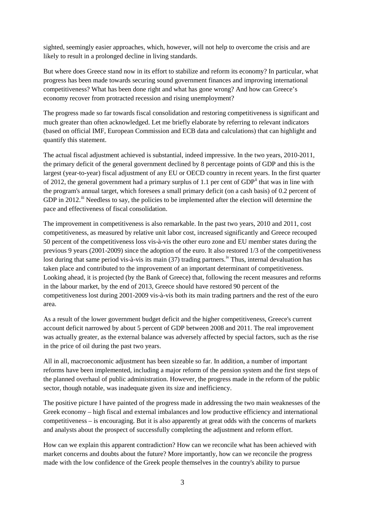sighted, seemingly easier approaches, which, however, will not help to overcome the crisis and are likely to result in a prolonged decline in living standards.

But where does Greece stand now in its effort to stabilize and reform its economy? In particular, what progress has been made towards securing sound government finances and improving international competitiveness? What has been done right and what has gone wrong? And how can Greece's economy recover from protracted recession and rising unemployment?

The progress made so far towards fiscal consolidation and restoring competitiveness is significant and much greater than often acknowledged. Let me briefly elaborate by referring to relevant indicators (based on official IMF, European Commission and ECB data and calculations) that can highlight and quantify this statement.

The actual fiscal adjustment achieved is substantial, indeed impressive. In the two years, 2010-2011, the primary deficit of the general government declined by 8 percentage points of GDP and this is the largest (year-to-year) fiscal adjustment of any EU or OECD country in recent years. In the first quarter of 2012, the general government had a primary surplus of 1.1 per cent of GDP<sup>[ii](#page-8-1)</sup> that was in line with the program's annual target, which foresees a small primary deficit (on a cash basis) of 0.2 percent of GDP in 2012.<sup>[iii](#page-8-2)</sup> Needless to say, the policies to be implemented after the election will determine the pace and effectiveness of fiscal consolidation.

The improvement in competitiveness is also remarkable. In the past two years, 2010 and 2011, cost competitiveness, as measured by relative unit labor cost, increased significantly and Greece recouped 50 percent of the competitiveness loss vis-à-vis the other euro zone and EU member states during the previous 9 years (2001-2009) since the adoption of the euro. It also restored 1/3 of the competitiveness lost during that same period vis-à-vis its main (37) trading partners.<sup>[iv](#page-8-3)</sup> Thus, internal devaluation has taken place and contributed to the improvement of an important determinant of competitiveness. Looking ahead, it is projected (by the Bank of Greece) that, following the recent measures and reforms in the labour market, by the end of 2013, Greece should have restored 90 percent of the competitiveness lost during 2001-2009 vis-à-vis both its main trading partners and the rest of the euro area.

As a result of the lower government budget deficit and the higher competitiveness, Greece's current account deficit narrowed by about 5 percent of GDP between 2008 and 2011. The real improvement was actually greater, as the external balance was adversely affected by special factors, such as the rise in the price of oil during the past two years.

All in all, macroeconomic adjustment has been sizeable so far. In addition, a number of important reforms have been implemented, including a major reform of the pension system and the first steps of the planned overhaul of public administration. However, the progress made in the reform of the public sector, though notable, was inadequate given its size and inefficiency.

The positive picture I have painted of the progress made in addressing the two main weaknesses of the Greek economy – high fiscal and external imbalances and low productive efficiency and international competitiveness – is encouraging. But it is also apparently at great odds with the concerns of markets and analysts about the prospect of successfully completing the adjustment and reform effort.

How can we explain this apparent contradiction? How can we reconcile what has been achieved with market concerns and doubts about the future? More importantly, how can we reconcile the progress made with the low confidence of the Greek people themselves in the country's ability to pursue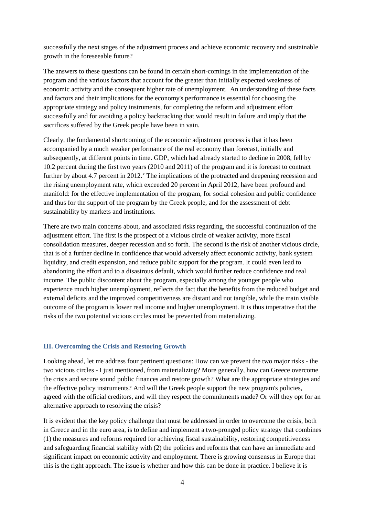successfully the next stages of the adjustment process and achieve economic recovery and sustainable growth in the foreseeable future?

The answers to these questions can be found in certain short-comings in the implementation of the program and the various factors that account for the greater than initially expected weakness of economic activity and the consequent higher rate of unemployment. An understanding of these facts and factors and their implications for the economy's performance is essential for choosing the appropriate strategy and policy instruments, for completing the reform and adjustment effort successfully and for avoiding a policy backtracking that would result in failure and imply that the sacrifices suffered by the Greek people have been in vain.

Clearly, the fundamental shortcoming of the economic adjustment process is that it has been accompanied by a much weaker performance of the real economy than forecast, initially and subsequently, at different points in time. GDP, which had already started to decline in 2008, fell by 10.2 percent during the first two years (2010 and 2011) of the program and it is forecast to contract further by about 4.7 percent in 2012. The implications of the protracted and deepening recession and the rising unemployment rate, which exceeded 20 percent in April 2012, have been profound and manifold: for the effective implementation of the program, for social cohesion and public confidence and thus for the support of the program by the Greek people, and for the assessment of debt sustainability by markets and institutions.

There are two main concerns about, and associated risks regarding, the successful continuation of the adjustment effort. The first is the prospect of a vicious circle of weaker activity, more fiscal consolidation measures, deeper recession and so forth. The second is the risk of another vicious circle, that is of a further decline in confidence that would adversely affect economic activity, bank system liquidity, and credit expansion, and reduce public support for the program. It could even lead to abandoning the effort and to a disastrous default, which would further reduce confidence and real income. The public discontent about the program, especially among the younger people who experience much higher unemployment, reflects the fact that the benefits from the reduced budget and external deficits and the improved competitiveness are distant and not tangible, while the main visible outcome of the program is lower real income and higher unemployment. It is thus imperative that the risks of the two potential vicious circles must be prevented from materializing.

#### **III. Overcoming the Crisis and Restoring Growth**

Looking ahead, let me address four pertinent questions: How can we prevent the two major risks - the two vicious circles - I just mentioned, from materializing? More generally, how can Greece overcome the crisis and secure sound public finances and restore growth? What are the appropriate strategies and the effective policy instruments? And will the Greek people support the new program's policies, agreed with the official creditors, and will they respect the commitments made? Or will they opt for an alternative approach to resolving the crisis?

It is evident that the key policy challenge that must be addressed in order to overcome the crisis, both in Greece and in the euro area, is to define and implement a two-pronged policy strategy that combines (1) the measures and reforms required for achieving fiscal sustainability, restoring competitiveness and safeguarding financial stability with (2) the policies and reforms that can have an immediate and significant impact on economic activity and employment. There is growing consensus in Europe that this is the right approach. The issue is whether and how this can be done in practice. I believe it is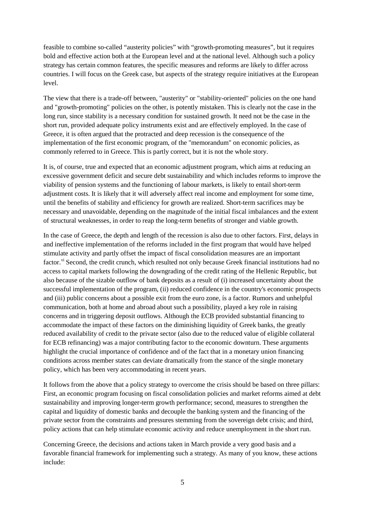feasible to combine so-called "austerity policies" with "growth-promoting measures", but it requires bold and effective action both at the European level and at the national level. Although such a policy strategy has certain common features, the specific measures and reforms are likely to differ across countries. I will focus on the Greek case, but aspects of the strategy require initiatives at the European level.

The view that there is a trade-off between, "austerity" or "stability-oriented" policies on the one hand and "growth-promoting" policies on the other, is potently mistaken. This is clearly not the case in the long run, since stability is a necessary condition for sustained growth. It need not be the case in the short run, provided adequate policy instruments exist and are effectively employed. In the case of Greece, it is often argued that the protracted and deep recession is the consequence of the implementation of the first economic program, of the "memorandum" on economic policies, as commonly referred to in Greece. This is partly correct, but it is not the whole story.

It is, of course, true and expected that an economic adjustment program, which aims at reducing an excessive government deficit and secure debt sustainability and which includes reforms to improve the viability of pension systems and the functioning of labour markets, is likely to entail short-term adjustment costs. It is likely that it will adversely affect real income and employment for some time, until the benefits of stability and efficiency for growth are realized. Short-term sacrifices may be necessary and unavoidable, depending on the magnitude of the initial fiscal imbalances and the extent of structural weaknesses, in order to reap the long-term benefits of stronger and viable growth.

In the case of Greece, the depth and length of the recession is also due to other factors. First, delays in and ineffective implementation of the reforms included in the first program that would have helped stimulate activity and partly offset the impact of fiscal consolidation measures are an important factor.<sup>[vi](#page-8-5)</sup> Second, the credit crunch, which resulted not only because Greek financial institutions had no access to capital markets following the downgrading of the credit rating of the Hellenic Republic, but also because of the sizable outflow of bank deposits as a result of (i) increased uncertainty about the successful implementation of the program, (ii) reduced confidence in the country's economic prospects and (iii) public concerns about a possible exit from the euro zone, ís a factor. Rumors and unhelpful communication, both at home and abroad about such a possibility, played a key role in raising concerns and in triggering deposit outflows. Although the ECB provided substantial financing to accommodate the impact of these factors on the diminishing liquidity of Greek banks, the greatly reduced availability of credit to the private sector (also due to the reduced value of eligible collateral for ECB refinancing) was a major contributing factor to the economic downturn. These arguments highlight the crucial importance of confidence and of the fact that in a monetary union financing conditions across member states can deviate dramatically from the stance of the single monetary policy, which has been very accommodating in recent years.

It follows from the above that a policy strategy to overcome the crisis should be based on three pillars: First, an economic program focusing on fiscal consolidation policies and market reforms aimed at debt sustainability and improving longer-term growth performance; second, measures to strengthen the capital and liquidity of domestic banks and decouple the banking system and the financing of the private sector from the constraints and pressures stemming from the sovereign debt crisis; and third, policy actions that can help stimulate economic activity and reduce unemployment in the short run.

Concerning Greece, the decisions and actions taken in March provide a very good basis and a favorable financial framework for implementing such a strategy. As many of you know, these actions include: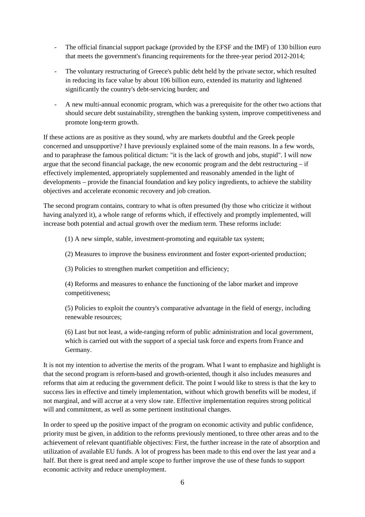- The official financial support package (provided by the EFSF and the IMF) of 130 billion euro that meets the government's financing requirements for the three-year period 2012-2014;
- The voluntary restructuring of Greece's public debt held by the private sector, which resulted in reducing its face value by about 106 billion euro, extended its maturity and lightened significantly the country's debt-servicing burden; and
- A new multi-annual economic program, which was a prerequisite for the other two actions that should secure debt sustainability, strengthen the banking system, improve competitiveness and promote long-term growth.

If these actions are as positive as they sound, why are markets doubtful and the Greek people concerned and unsupportive? I have previously explained some of the main reasons. In a few words, and to paraphrase the famous political dictum: "it is the lack of growth and jobs, stupid". I will now argue that the second financial package, the new economic program and the debt restructuring – if effectively implemented, appropriately supplemented and reasonably amended in the light of developments – provide the financial foundation and key policy ingredients, to achieve the stability objectives and accelerate economic recovery and job creation.

The second program contains, contrary to what is often presumed (by those who criticize it without having analyzed it), a whole range of reforms which, if effectively and promptly implemented, will increase both potential and actual growth over the medium term. These reforms include:

(1) A new simple, stable, investment-promoting and equitable tax system;

(2) Measures to improve the business environment and foster export-oriented production;

(3) Policies to strengthen market competition and efficiency;

(4) Reforms and measures to enhance the functioning of the labor market and improve competitiveness;

(5) Policies to exploit the country's comparative advantage in the field of energy, including renewable resources;

(6) Last but not least, a wide-ranging reform of public administration and local government, which is carried out with the support of a special task force and experts from France and Germany.

It is not my intention to advertise the merits of the program. What I want to emphasize and highlight is that the second program is reform-based and growth-oriented, though it also includes measures and reforms that aim at reducing the government deficit. The point I would like to stress is that the key to success lies in effective and timely implementation, without which growth benefits will be modest, if not marginal, and will accrue at a very slow rate. Effective implementation requires strong political will and commitment, as well as some pertinent institutional changes.

In order to speed up the positive impact of the program on economic activity and public confidence, priority must be given, in addition to the reforms previously mentioned, to three other areas and to the achievement of relevant quantifiable objectives: First, the further increase in the rate of absorption and utilization of available EU funds. A lot of progress has been made to this end over the last year and a half. But there is great need and ample scope to further improve the use of these funds to support economic activity and reduce unemployment.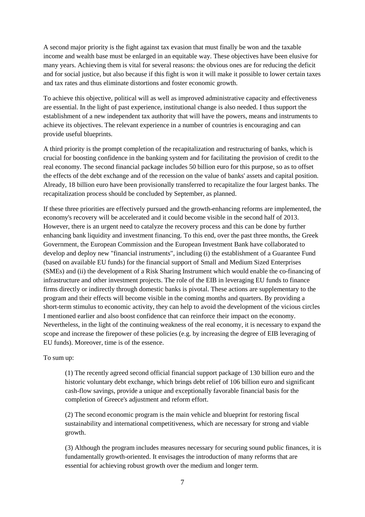A second major priority is the fight against tax evasion that must finally be won and the taxable income and wealth base must be enlarged in an equitable way. These objectives have been elusive for many years. Achieving them is vital for several reasons: the obvious ones are for reducing the deficit and for social justice, but also because if this fight is won it will make it possible to lower certain taxes and tax rates and thus eliminate distortions and foster economic growth.

To achieve this objective, political will as well as improved administrative capacity and effectiveness are essential. In the light of past experience, institutional change is also needed. I thus support the establishment of a new independent tax authority that will have the powers, means and instruments to achieve its objectives. The relevant experience in a number of countries is encouraging and can provide useful blueprints.

A third priority is the prompt completion of the recapitalization and restructuring of banks, which is crucial for boosting confidence in the banking system and for facilitating the provision of credit to the real economy. The second financial package includes 50 billion euro for this purpose, so as to offset the effects of the debt exchange and of the recession on the value of banks' assets and capital position. Already, 18 billion euro have been provisionally transferred to recapitalize the four largest banks. The recapitalization process should be concluded by September, as planned.

If these three priorities are effectively pursued and the growth-enhancing reforms are implemented, the economy's recovery will be accelerated and it could become visible in the second half of 2013. However, there is an urgent need to catalyze the recovery process and this can be done by further enhancing bank liquidity and investment financing. To this end, over the past three months, the Greek Government, the European Commission and the European Investment Bank have collaborated to develop and deploy new "financial instruments", including (i) the establishment of a Guarantee Fund (based on available EU funds) for the financial support of Small and Medium Sized Enterprises (SMEs) and (ii) the development of a Risk Sharing Instrument which would enable the co-financing of infrastructure and other investment projects. The role of the EIB in leveraging EU funds to finance firms directly or indirectly through domestic banks is pivotal. These actions are supplementary to the program and their effects will become visible in the coming months and quarters. By providing a short-term stimulus to economic activity, they can help to avoid the development of the vicious circles I mentioned earlier and also boost confidence that can reinforce their impact on the economy. Nevertheless, in the light of the continuing weakness of the real economy, it is necessary to expand the scope and increase the firepower of these policies (e.g. by increasing the degree of EIB leveraging of EU funds). Moreover, time is of the essence.

#### To sum up:

(1) The recently agreed second official financial support package of 130 billion euro and the historic voluntary debt exchange, which brings debt relief of 106 billion euro and significant cash-flow savings, provide a unique and exceptionally favorable financial basis for the completion of Greece's adjustment and reform effort.

(2) The second economic program is the main vehicle and blueprint for restoring fiscal sustainability and international competitiveness, which are necessary for strong and viable growth.

(3) Although the program includes measures necessary for securing sound public finances, it is fundamentally growth-oriented. It envisages the introduction of many reforms that are essential for achieving robust growth over the medium and longer term.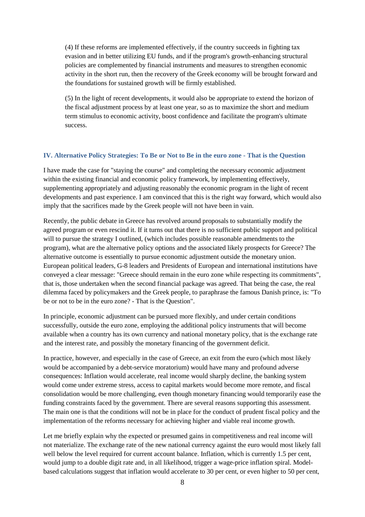(4) If these reforms are implemented effectively, if the country succeeds in fighting tax evasion and in better utilizing EU funds, and if the program's growth-enhancing structural policies are complemented by financial instruments and measures to strengthen economic activity in the short run, then the recovery of the Greek economy will be brought forward and the foundations for sustained growth will be firmly established.

(5) In the light of recent developments, it would also be appropriate to extend the horizon of the fiscal adjustment process by at least one year, so as to maximize the short and medium term stimulus to economic activity, boost confidence and facilitate the program's ultimate success.

#### **IV. Alternative Policy Strategies: To Be or Not to Be in the euro zone - That is the Question**

<span id="page-8-0"></span>I have made the case for "staying the course" and completing the necessary economic adjustment within the existing financial and economic policy framework, by implementing effectively, supplementing appropriately and adjusting reasonably the economic program in the light of recent developments and past experience. I am convinced that this is the right way forward, which would also imply that the sacrifices made by the Greek people will not have been in vain.

<span id="page-8-3"></span><span id="page-8-2"></span><span id="page-8-1"></span>Recently, the public debate in Greece has revolved around proposals to substantially modify the agreed program or even rescind it. If it turns out that there is no sufficient public support and political will to pursue the strategy I outlined, (which includes possible reasonable amendments to the program), what are the alternative policy options and the associated likely prospects for Greece? The alternative outcome is essentially to pursue economic adjustment outside the monetary union. European political leaders, G-8 leaders and Presidents of European and international institutions have conveyed a clear message: "Greece should remain in the euro zone while respecting its commitments", that is, those undertaken when the second financial package was agreed. That being the case, the real dilemma faced by policymakers and the Greek people, to paraphrase the famous Danish prince, is: "To be or not to be in the euro zone? - That is the Question".

<span id="page-8-5"></span><span id="page-8-4"></span>In principle, economic adjustment can be pursued more flexibly, and under certain conditions successfully, outside the euro zone, employing the additional policy instruments that will become available when a country has its own currency and national monetary policy, that is the exchange rate and the interest rate, and possibly the monetary financing of the government deficit.

In practice, however, and especially in the case of Greece, an exit from the euro (which most likely would be accompanied by a debt-service moratorium) would have many and profound adverse consequences: Inflation would accelerate, real income would sharply decline, the banking system would come under extreme stress, access to capital markets would become more remote, and fiscal consolidation would be more challenging, even though monetary financing would temporarily ease the funding constraints faced by the government. There are several reasons supporting this assessment. The main one is that the conditions will not be in place for the conduct of prudent fiscal policy and the implementation of the reforms necessary for achieving higher and viable real income growth.

Let me briefly explain why the expected or presumed gains in competitiveness and real income will not materialize. The exchange rate of the new national currency against the euro would most likely fall well below the level required for current account balance. Inflation, which is currently 1.5 per cent, would jump to a double digit rate and, in all likelihood, trigger a wage-price inflation spiral. Modelbased calculations suggest that inflation would accelerate to 30 per cent, or even higher to 50 per cent,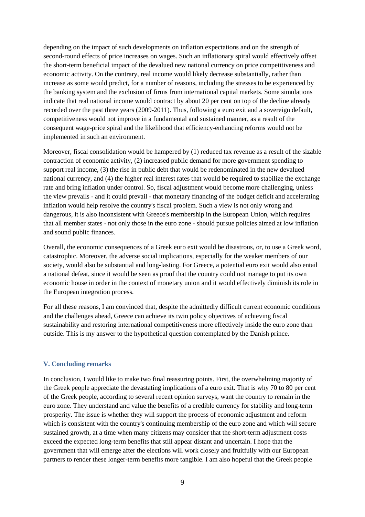depending on the impact of such developments on inflation expectations and on the strength of second-round effects of price increases on wages. Such an inflationary spiral would effectively offset the short-term beneficial impact of the devalued new national currency on price competitiveness and economic activity. On the contrary, real income would likely decrease substantially, rather than increase as some would predict, for a number of reasons, including the stresses to be experienced by the banking system and the exclusion of firms from international capital markets. Some simulations indicate that real national income would contract by about 20 per cent on top of the decline already recorded over the past three years (2009-2011). Thus, following a euro exit and a sovereign default, competitiveness would not improve in a fundamental and sustained manner, as a result of the consequent wage-price spiral and the likelihood that efficiency-enhancing reforms would not be implemented in such an environment.

Moreover, fiscal consolidation would be hampered by (1) reduced tax revenue as a result of the sizable contraction of economic activity, (2) increased public demand for more government spending to support real income, (3) the rise in public debt that would be redenominated in the new devalued national currency, and (4) the higher real interest rates that would be required to stabilize the exchange rate and bring inflation under control. So, fiscal adjustment would become more challenging, unless the view prevails - and it could prevail - that monetary financing of the budget deficit and accelerating inflation would help resolve the country's fiscal problem. Such a view is not only wrong and dangerous, it is also inconsistent with Greece's membership in the European Union, which requires that all member states - not only those in the euro zone - should pursue policies aimed at low inflation and sound public finances.

Overall, the economic consequences of a Greek euro exit would be disastrous, or, to use a Greek word, catastrophic. Moreover, the adverse social implications, especially for the weaker members of our society, would also be substantial and long-lasting. For Greece, a potential euro exit would also entail a national defeat, since it would be seen as proof that the country could not manage to put its own economic house in order in the context of monetary union and it would effectively diminish its role in the European integration process.

For all these reasons, I am convinced that, despite the admittedly difficult current economic conditions and the challenges ahead, Greece can achieve its twin policy objectives of achieving fiscal sustainability and restoring international competitiveness more effectively inside the euro zone than outside. This is my answer to the hypothetical question contemplated by the Danish prince.

#### **V. Concluding remarks**

In conclusion, I would like to make two final reassuring points. First, the overwhelming majority of the Greek people appreciate the devastating implications of a euro exit. That is why 70 to 80 per cent of the Greek people, according to several recent opinion surveys, want the country to remain in the euro zone. They understand and value the benefits of a credible currency for stability and long-term prosperity. The issue is whether they will support the process of economic adjustment and reform which is consistent with the country's continuing membership of the euro zone and which will secure sustained growth, at a time when many citizens may consider that the short-term adjustment costs exceed the expected long-term benefits that still appear distant and uncertain. I hope that the government that will emerge after the elections will work closely and fruitfully with our European partners to render these longer-term benefits more tangible. I am also hopeful that the Greek people